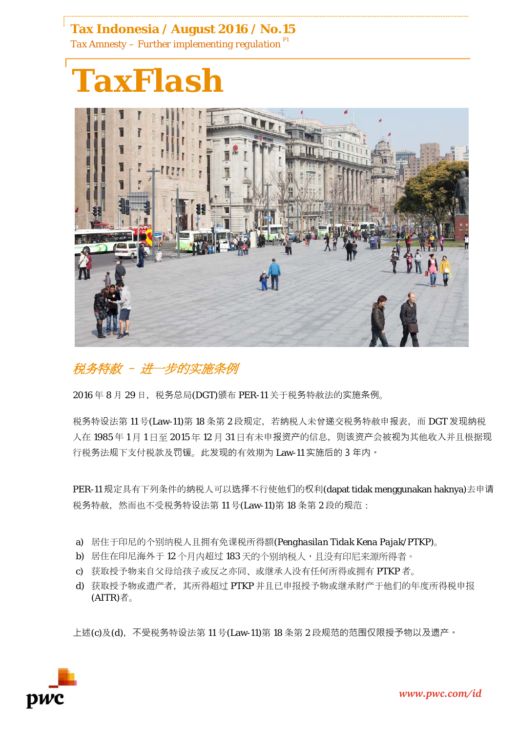## **Tax Indonesia / August 2016 / No.15** *Tax Amnesty – Further implementing regulation P1*



## 税务特赦 – 进一步的实施条例

 $2016 \oplus 8$  月 29 日, 税务总局(DGT)颁布 PER-11 关于税务特赦法的实施条例。

税务特设法第 11 号(Law-11)第 18 条第 2 段规定, 若纳税人未曾递交税务特赦申报表, 而 DGT 发现纳税 人在 1985年1月1日至 2015年12月31日有未申报资产的信息,则该资产会被视为其他收入并且根据现 行税务法规下支付税款及罚锾。此发现的有效期为 Law-11 实施后的 3 年内。

PER-11 规定具有下列条件的纳税人可以选择不行使他们的权利(dapat tidak menggunakan haknya)去申请 税务特赦, 然而也不受税务特设法第 11 号(Law-11)第 18 条第 2 段的规范:

- a) 居住于印尼的个别纳税人且拥有免课税所得额(*Penghasilan Tidak Kena Pajak/PTKP*)。
- b) 居住在印尼海外于 12 个月内超过 183 天的个别纳税人, 且没有印尼来源所得者。
- c) 获取授予物来自父母给孩子或反之亦同、或继承人没有任何所得或拥有 PTKP 者。
- d) 获取授予物或遗产者, 其所得超过 PTKP 并且已申报授予物或继承财产于他们的年度所得税申报 (AITR)者。

上述(c)及(d),不受税务特设法第11号(Law-11)第18条第2段规范的范围仅限授予物以及遗产。